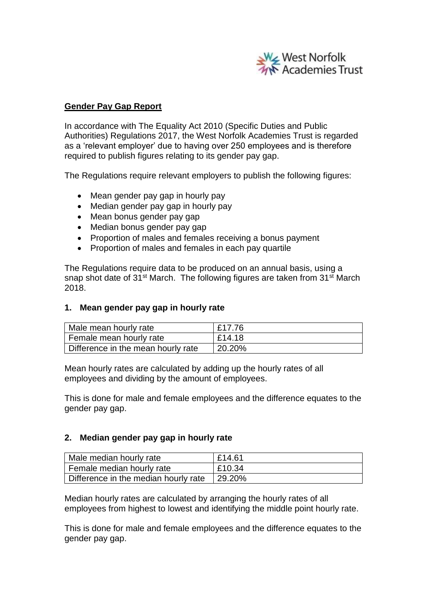

# **Gender Pay Gap Report**

In accordance with The Equality Act 2010 (Specific Duties and Public Authorities) Regulations 2017, the West Norfolk Academies Trust is regarded as a 'relevant employer' due to having over 250 employees and is therefore required to publish figures relating to its gender pay gap.

The Regulations require relevant employers to publish the following figures:

- Mean gender pay gap in hourly pay
- Median gender pay gap in hourly pay
- Mean bonus gender pay gap
- Median bonus gender pay gap
- Proportion of males and females receiving a bonus payment
- Proportion of males and females in each pay quartile

The Regulations require data to be produced on an annual basis, using a snap shot date of 31<sup>st</sup> March. The following figures are taken from 31<sup>st</sup> March 2018.

## **1. Mean gender pay gap in hourly rate**

| Male mean hourly rate              | £17.76 |
|------------------------------------|--------|
| Female mean hourly rate            | £14.18 |
| Difference in the mean hourly rate | 20.20% |

Mean hourly rates are calculated by adding up the hourly rates of all employees and dividing by the amount of employees.

This is done for male and female employees and the difference equates to the gender pay gap.

## **2. Median gender pay gap in hourly rate**

| Male median hourly rate                       | E14.61 |
|-----------------------------------------------|--------|
| Female median hourly rate                     | £10.34 |
| Difference in the median hourly rate   29.20% |        |

Median hourly rates are calculated by arranging the hourly rates of all employees from highest to lowest and identifying the middle point hourly rate.

This is done for male and female employees and the difference equates to the gender pay gap.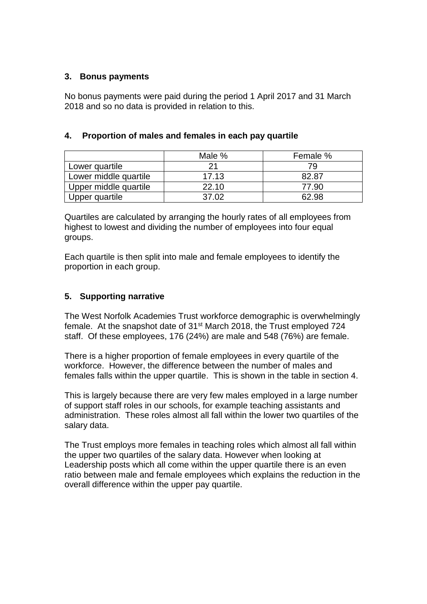## **3. Bonus payments**

No bonus payments were paid during the period 1 April 2017 and 31 March 2018 and so no data is provided in relation to this.

|                       | Male % | Female % |
|-----------------------|--------|----------|
| Lower quartile        | つ1     | 79       |
| Lower middle quartile | 17.13  | 82.87    |
| Upper middle quartile | 22.10  | 77.90    |
| Upper quartile        | 37.02  | 62.98    |

# **4. Proportion of males and females in each pay quartile**

Quartiles are calculated by arranging the hourly rates of all employees from highest to lowest and dividing the number of employees into four equal groups.

Each quartile is then split into male and female employees to identify the proportion in each group.

# **5. Supporting narrative**

The West Norfolk Academies Trust workforce demographic is overwhelmingly female. At the snapshot date of 31<sup>st</sup> March 2018, the Trust employed 724 staff. Of these employees, 176 (24%) are male and 548 (76%) are female.

There is a higher proportion of female employees in every quartile of the workforce. However, the difference between the number of males and females falls within the upper quartile. This is shown in the table in section 4.

This is largely because there are very few males employed in a large number of support staff roles in our schools, for example teaching assistants and administration. These roles almost all fall within the lower two quartiles of the salary data.

The Trust employs more females in teaching roles which almost all fall within the upper two quartiles of the salary data. However when looking at Leadership posts which all come within the upper quartile there is an even ratio between male and female employees which explains the reduction in the overall difference within the upper pay quartile.